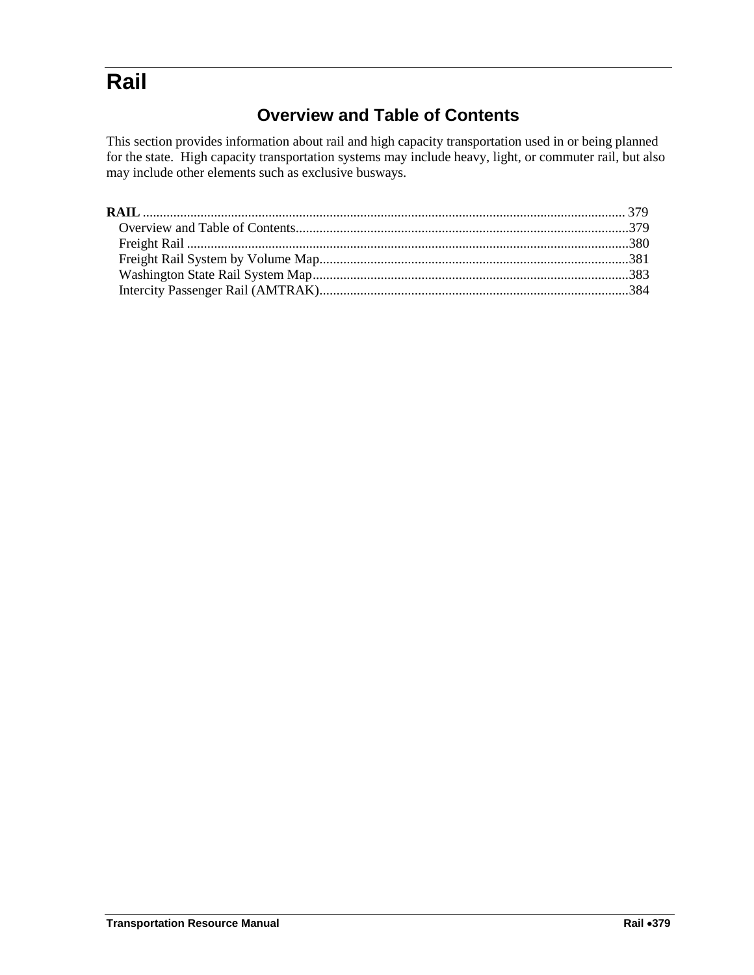# <span id="page-0-1"></span><span id="page-0-0"></span>**Rail**

# **Overview and Table of Contents**

This section provides information about rail and high capacity transportation used in or being planned for the state. High capacity transportation systems may include heavy, light, or commuter rail, but also may include other elements such as exclusive busways.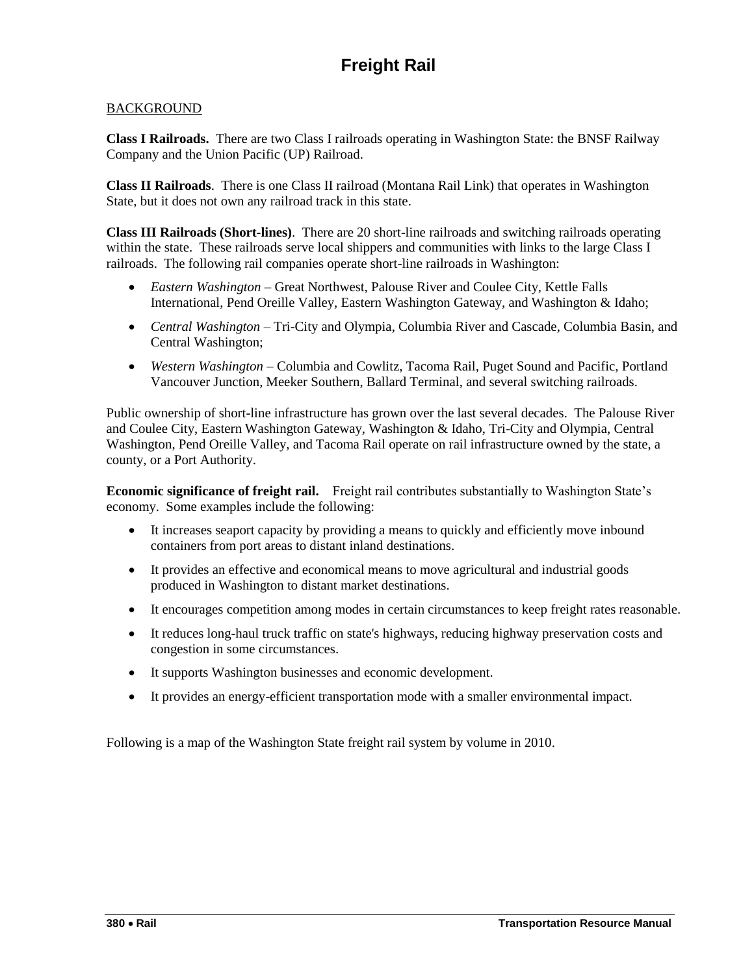## <span id="page-1-0"></span>**BACKGROUND**

**Class I Railroads.** There are two Class I railroads operating in Washington State: the BNSF Railway Company and the Union Pacific (UP) Railroad.

**Class II Railroads**. There is one Class II railroad (Montana Rail Link) that operates in Washington State, but it does not own any railroad track in this state.

**Class III Railroads (Short-lines)**. There are 20 short-line railroads and switching railroads operating within the state. These railroads serve local shippers and communities with links to the large Class I railroads. The following rail companies operate short-line railroads in Washington:

- *Eastern Washington* Great Northwest, Palouse River and Coulee City, Kettle Falls International, Pend Oreille Valley, Eastern Washington Gateway, and Washington & Idaho;
- *Central Washington* Tri-City and Olympia, Columbia River and Cascade, Columbia Basin, and Central Washington;
- *Western Washington* Columbia and Cowlitz, Tacoma Rail, Puget Sound and Pacific, Portland Vancouver Junction, Meeker Southern, Ballard Terminal, and several switching railroads.

Public ownership of short-line infrastructure has grown over the last several decades. The Palouse River and Coulee City, Eastern Washington Gateway, Washington & Idaho, Tri-City and Olympia, Central Washington, Pend Oreille Valley, and Tacoma Rail operate on rail infrastructure owned by the state, a county, or a Port Authority.

**Economic significance of freight rail.** Freight rail contributes substantially to Washington State's economy. Some examples include the following:

- It increases seaport capacity by providing a means to quickly and efficiently move inbound containers from port areas to distant inland destinations.
- It provides an effective and economical means to move agricultural and industrial goods produced in Washington to distant market destinations.
- It encourages competition among modes in certain circumstances to keep freight rates reasonable.
- It reduces long-haul truck traffic on state's highways, reducing highway preservation costs and congestion in some circumstances.
- It supports Washington businesses and economic development.
- It provides an energy-efficient transportation mode with a smaller environmental impact.

Following is a map of the Washington State freight rail system by volume in 2010.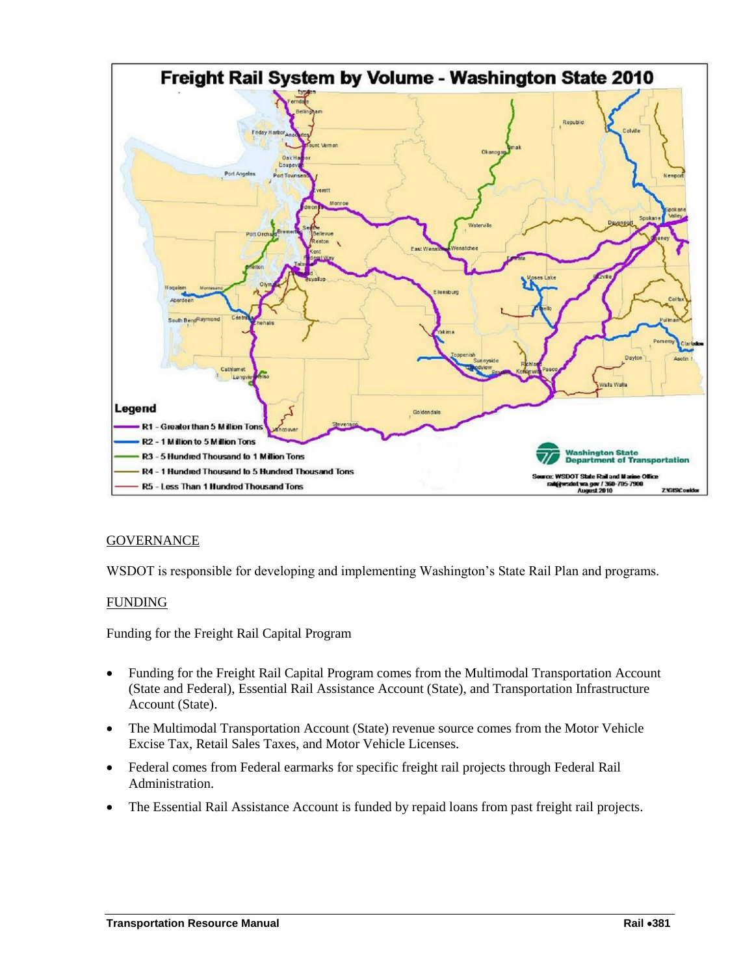<span id="page-2-0"></span>

### **GOVERNANCE**

WSDOT is responsible for developing and implementing Washington's State Rail Plan and programs.

#### FUNDING

Funding for the Freight Rail Capital Program

- Funding for the Freight Rail Capital Program comes from the Multimodal Transportation Account (State and Federal), Essential Rail Assistance Account (State), and Transportation Infrastructure Account (State).
- The Multimodal Transportation Account (State) revenue source comes from the Motor Vehicle Excise Tax, Retail Sales Taxes, and Motor Vehicle Licenses.
- Federal comes from Federal earmarks for specific freight rail projects through Federal Rail Administration.
- The Essential Rail Assistance Account is funded by repaid loans from past freight rail projects.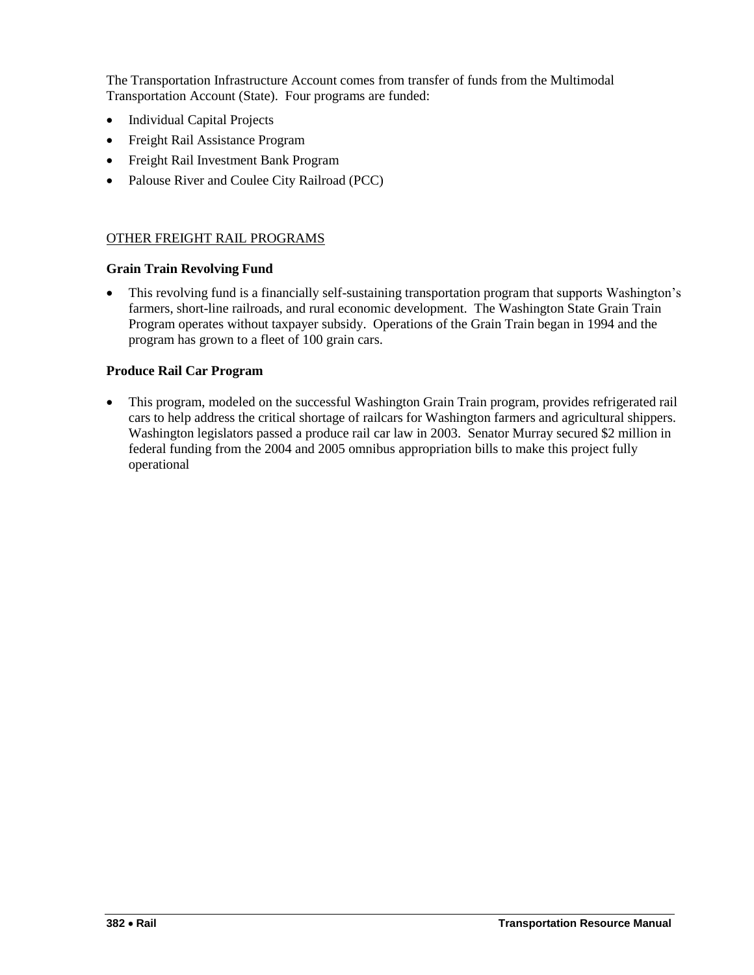The Transportation Infrastructure Account comes from transfer of funds from the Multimodal Transportation Account (State). Four programs are funded:

- Individual Capital Projects
- Freight Rail Assistance Program
- Freight Rail Investment Bank Program
- Palouse River and Coulee City Railroad (PCC)

#### OTHER FREIGHT RAIL PROGRAMS

#### **Grain Train Revolving Fund**

 This revolving fund is a financially self-sustaining transportation program that supports Washington's farmers, short-line railroads, and rural economic development. The Washington State Grain Train Program operates without taxpayer subsidy. Operations of the Grain Train began in 1994 and the program has grown to a fleet of 100 grain cars.

#### **Produce Rail Car Program**

 This program, modeled on the successful Washington Grain Train program, provides refrigerated rail cars to help address the critical shortage of railcars for Washington farmers and agricultural shippers. Washington legislators passed a produce rail car law in 2003. Senator Murray secured \$2 million in federal funding from the 2004 and 2005 omnibus appropriation bills to make this project fully operational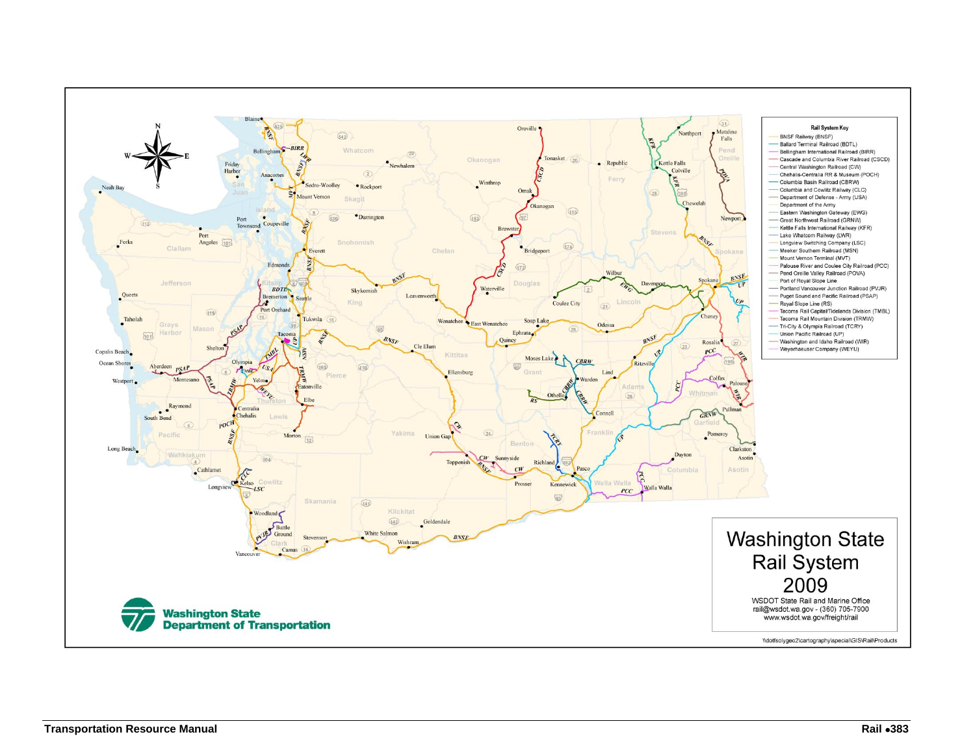<span id="page-4-0"></span>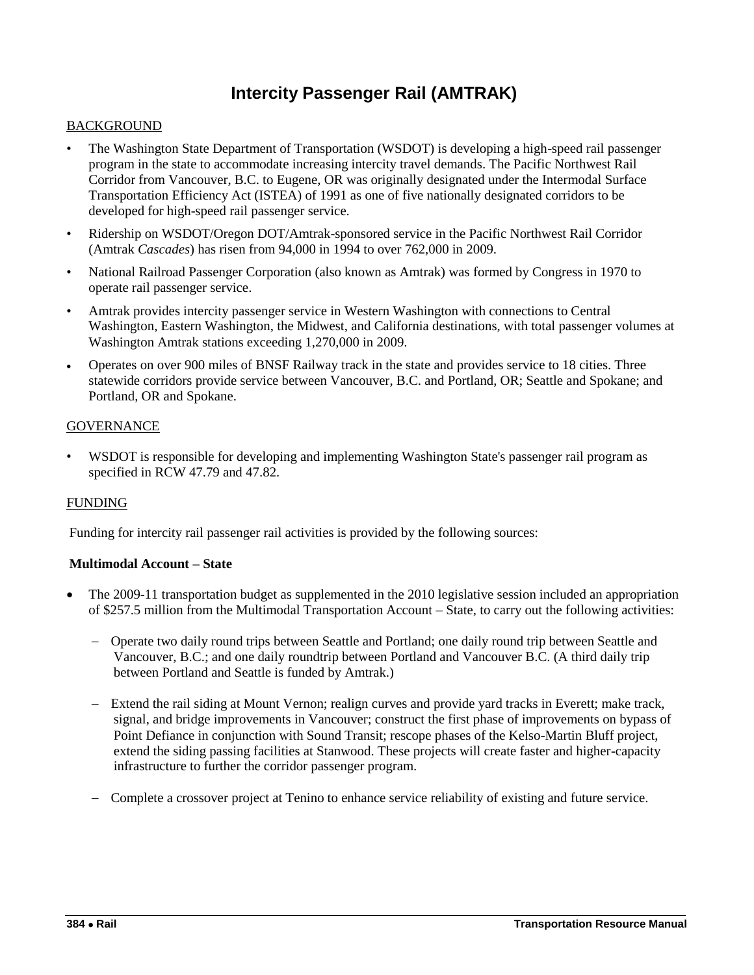# **Intercity Passenger Rail (AMTRAK)**

#### <span id="page-5-0"></span>BACKGROUND

- The Washington State Department of Transportation (WSDOT) is developing a high-speed rail passenger program in the state to accommodate increasing intercity travel demands. The Pacific Northwest Rail Corridor from Vancouver, B.C. to Eugene, OR was originally designated under the Intermodal Surface Transportation Efficiency Act (ISTEA) of 1991 as one of five nationally designated corridors to be developed for high-speed rail passenger service.
- Ridership on WSDOT/Oregon DOT/Amtrak-sponsored service in the Pacific Northwest Rail Corridor (Amtrak *Cascades*) has risen from 94,000 in 1994 to over 762,000 in 2009.
- National Railroad Passenger Corporation (also known as Amtrak) was formed by Congress in 1970 to operate rail passenger service.
- Amtrak provides intercity passenger service in Western Washington with connections to Central Washington, Eastern Washington, the Midwest, and California destinations, with total passenger volumes at Washington Amtrak stations exceeding 1,270,000 in 2009.
- Operates on over 900 miles of BNSF Railway track in the state and provides service to 18 cities. Three statewide corridors provide service between Vancouver, B.C. and Portland, OR; Seattle and Spokane; and Portland, OR and Spokane.

#### **GOVERNANCE**

• WSDOT is responsible for developing and implementing Washington State's passenger rail program as specified in RCW 47.79 and 47.82.

#### FUNDING

Funding for intercity rail passenger rail activities is provided by the following sources:

#### **Multimodal Account – State**

- The 2009-11 transportation budget as supplemented in the 2010 legislative session included an appropriation of \$257.5 million from the Multimodal Transportation Account – State, to carry out the following activities:
	- Operate two daily round trips between Seattle and Portland; one daily round trip between Seattle and Vancouver, B.C.; and one daily roundtrip between Portland and Vancouver B.C. (A third daily trip between Portland and Seattle is funded by Amtrak.)
	- Extend the rail siding at Mount Vernon; realign curves and provide yard tracks in Everett; make track, signal, and bridge improvements in Vancouver; construct the first phase of improvements on bypass of Point Defiance in conjunction with Sound Transit; rescope phases of the Kelso-Martin Bluff project, extend the siding passing facilities at Stanwood. These projects will create faster and higher-capacity infrastructure to further the corridor passenger program.
	- Complete a crossover project at Tenino to enhance service reliability of existing and future service.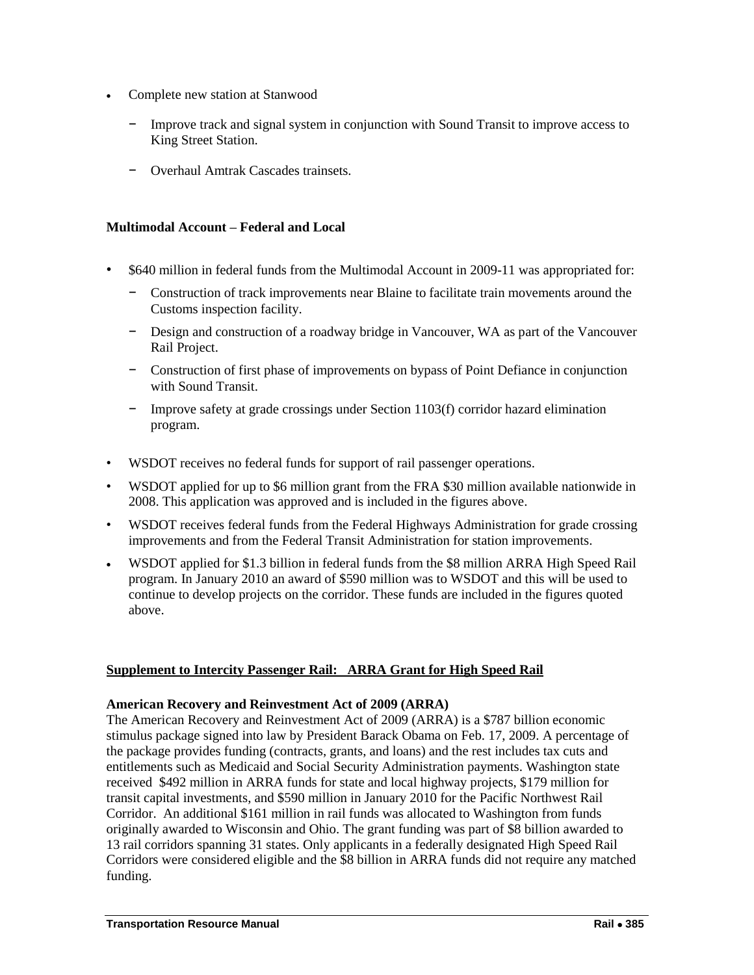- Complete new station at Stanwood
	- Improve track and signal system in conjunction with Sound Transit to improve access to King Street Station.
	- − Overhaul Amtrak Cascades trainsets.

#### **Multimodal Account – Federal and Local**

- \$640 million in federal funds from the Multimodal Account in 2009-11 was appropriated for:
	- − Construction of track improvements near Blaine to facilitate train movements around the Customs inspection facility.
	- − Design and construction of a roadway bridge in Vancouver, WA as part of the Vancouver Rail Project.
	- − Construction of first phase of improvements on bypass of Point Defiance in conjunction with Sound Transit.
	- − Improve safety at grade crossings under Section 1103(f) corridor hazard elimination program.
- WSDOT receives no federal funds for support of rail passenger operations.
- WSDOT applied for up to \$6 million grant from the FRA \$30 million available nationwide in 2008. This application was approved and is included in the figures above.
- WSDOT receives federal funds from the Federal Highways Administration for grade crossing improvements and from the Federal Transit Administration for station improvements.
- WSDOT applied for \$1.3 billion in federal funds from the \$8 million ARRA High Speed Rail program. In January 2010 an award of \$590 million was to WSDOT and this will be used to continue to develop projects on the corridor. These funds are included in the figures quoted above.

#### **Supplement to Intercity Passenger Rail: ARRA Grant for High Speed Rail**

#### **American Recovery and Reinvestment Act of 2009 (ARRA)**

The American Recovery and Reinvestment Act of 2009 (ARRA) is a \$787 billion economic stimulus package signed into law by President Barack Obama on Feb. 17, 2009. A percentage of the package provides funding (contracts, grants, and loans) and the rest includes tax cuts and entitlements such as Medicaid and Social Security Administration payments. Washington state received \$492 million in ARRA funds for state and local highway projects, \$179 million for transit capital investments, and \$590 million in January 2010 for the Pacific Northwest Rail Corridor. An additional \$161 million in rail funds was allocated to Washington from funds originally awarded to Wisconsin and Ohio. The grant funding was part of \$8 billion awarded to 13 rail corridors spanning 31 states. Only applicants in a federally designated High Speed Rail Corridors were considered eligible and the \$8 billion in ARRA funds did not require any matched funding.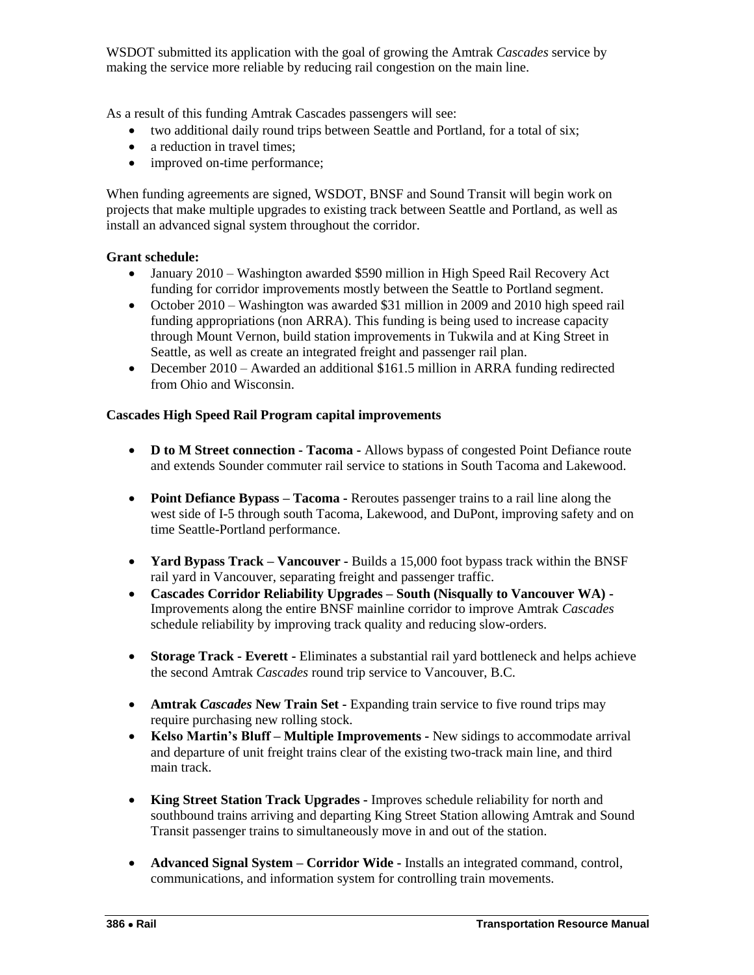WSDOT submitted its application with the goal of growing the Amtrak *Cascades* service by making the service more reliable by reducing rail congestion on the main line.

As a result of this funding Amtrak Cascades passengers will see:

- two additional daily round trips between Seattle and Portland, for a total of six;
- a reduction in travel times;
- improved on-time performance;

When funding agreements are signed, WSDOT, BNSF and Sound Transit will begin work on projects that make multiple upgrades to existing track between Seattle and Portland, as well as install an advanced signal system throughout the corridor.

#### **Grant schedule:**

- January 2010 Washington awarded \$590 million in High Speed Rail Recovery Act funding for corridor improvements mostly between the Seattle to Portland segment.
- October 2010 Washington was awarded \$31 million in 2009 and 2010 high speed rail funding appropriations (non ARRA). This funding is being used to increase capacity through Mount Vernon, build station improvements in Tukwila and at King Street in Seattle, as well as create an integrated freight and passenger rail plan.
- December 2010 Awarded an additional \$161.5 million in ARRA funding redirected from Ohio and Wisconsin.

#### **Cascades High Speed Rail Program capital improvements**

- **D to M Street connection - Tacoma -** Allows bypass of congested Point Defiance route and extends Sounder commuter rail service to stations in South Tacoma and Lakewood.
- **Point Defiance Bypass – Tacoma -** Reroutes passenger trains to a rail line along the west side of I-5 through south Tacoma, Lakewood, and DuPont, improving safety and on time Seattle-Portland performance.
- **Yard Bypass Track – Vancouver -** Builds a 15,000 foot bypass track within the BNSF rail yard in Vancouver, separating freight and passenger traffic.
- **Cascades Corridor Reliability Upgrades – South (Nisqually to Vancouver WA) -** Improvements along the entire BNSF mainline corridor to improve Amtrak *Cascades* schedule reliability by improving track quality and reducing slow-orders.
- **Storage Track - Everett -** Eliminates a substantial rail yard bottleneck and helps achieve the second Amtrak *Cascades* round trip service to Vancouver, B.C.
- **Amtrak** *Cascades* **New Train Set -** Expanding train service to five round trips may require purchasing new rolling stock.
- **Kelso Martin's Bluff – Multiple Improvements -** New sidings to accommodate arrival and departure of unit freight trains clear of the existing two-track main line, and third main track.
- **King Street Station Track Upgrades -** Improves schedule reliability for north and southbound trains arriving and departing King Street Station allowing Amtrak and Sound Transit passenger trains to simultaneously move in and out of the station.
- **Advanced Signal System – Corridor Wide -** Installs an integrated command, control, communications, and information system for controlling train movements.